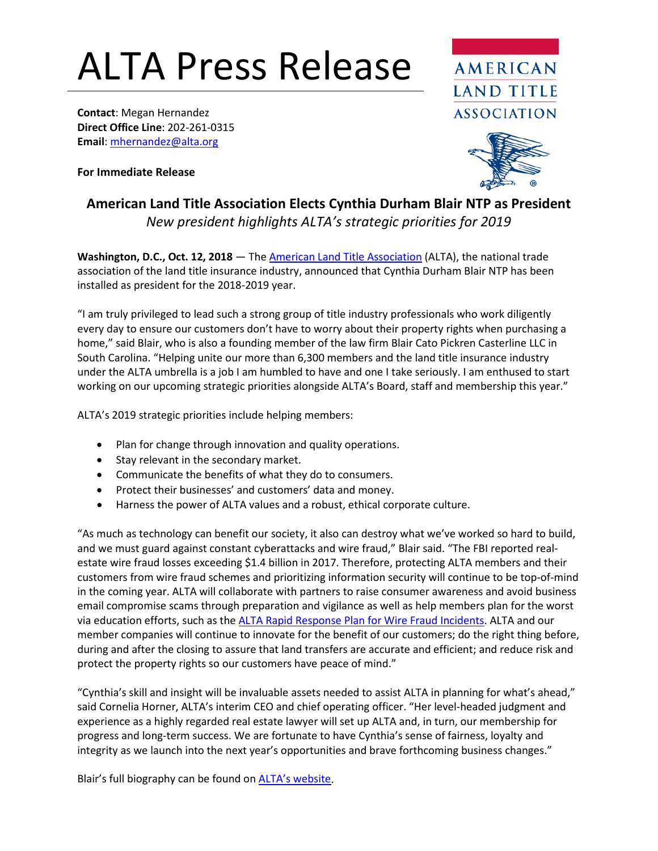## ALTA Press Release

**Contact**: Megan Hernandez **Direct Office Line**: 202-261-0315 **Email**[: mhernandez@alta.org](mailto:mhernandez@alta.org)

**For Immediate Release**





## **American Land Title Association Elects Cynthia Durham Blair NTP as President** *New president highlights ALTA's strategic priorities for 2019*

**Washington, D.C., Oct. 12, 2018** — Th[e American Land Title Association](http://www.alta.org/) (ALTA), the national trade association of the land title insurance industry, announced that Cynthia Durham Blair NTP has been installed as president for the 2018-2019 year.

"I am truly privileged to lead such a strong group of title industry professionals who work diligently every day to ensure our customers don't have to worry about their property rights when purchasing a home," said Blair, who is also a founding member of the law firm Blair Cato Pickren Casterline LLC in South Carolina. "Helping unite our more than 6,300 members and the land title insurance industry under the ALTA umbrella is a job I am humbled to have and one I take seriously. I am enthused to start working on our upcoming strategic priorities alongside ALTA's Board, staff and membership this year."

ALTA's 2019 strategic priorities include helping members:

- Plan for change through innovation and quality operations.
- Stay relevant in the secondary market.
- Communicate the benefits of what they do to consumers.
- Protect their businesses' and customers' data and money.
- Harness the power of ALTA values and a robust, ethical corporate culture.

"As much as technology can benefit our society, it also can destroy what we've worked so hard to build, and we must guard against constant cyberattacks and wire fraud," Blair said. "The FBI reported realestate wire fraud losses exceeding \$1.4 billion in 2017. Therefore, protecting ALTA members and their customers from wire fraud schemes and prioritizing information security will continue to be top-of-mind in the coming year. ALTA will collaborate with partners to raise consumer awareness and avoid business email compromise scams through preparation and vigilance as well as help members plan for the worst via education efforts, such as the [ALTA Rapid Response Plan for Wire](https://www.alta.org/news/news.cfm?20180821-ALTA-Develops-Rapid-Response-Plan-for-Wire-Fraud-Incidents) Fraud Incidents. ALTA and our member companies will continue to innovate for the benefit of our customers; do the right thing before, during and after the closing to assure that land transfers are accurate and efficient; and reduce risk and protect the property rights so our customers have peace of mind."

"Cynthia's skill and insight will be invaluable assets needed to assist ALTA in planning for what's ahead," said Cornelia Horner, ALTA's interim CEO and chief operating officer. "Her level-headed judgment and experience as a highly regarded real estate lawyer will set up ALTA and, in turn, our membership for progress and long-term success. We are fortunate to have Cynthia's sense of fairness, loyalty and integrity as we launch into the next year's opportunities and brave forthcoming business changes."

Blair's full biography can be found o[n ALTA's website.](https://www.alta.org/about/board-of-governors.cfm?Cynthia-D-Blair-NTP)